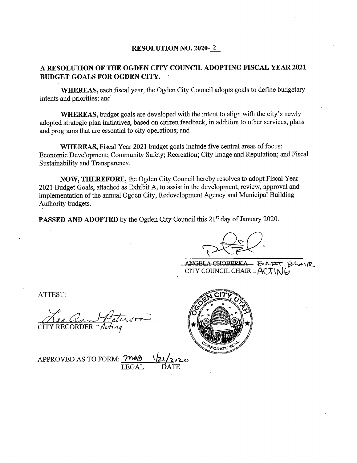#### **RESOLUTION NO. 2020-2**

#### A RESOLUTION OF THE OGDEN CITY COUNCIL ADOPTING FISCAL YEAR 2021 **BUDGET GOALS FOR OGDEN CITY.**

WHEREAS, each fiscal year, the Ogden City Council adopts goals to define budgetary intents and priorities; and

**WHEREAS.** budget goals are developed with the intent to align with the city's newly adopted strategic plan initiatives, based on citizen feedback, in addition to other services, plans and programs that are essential to city operations; and

**WHEREAS.** Fiscal Year 2021 budget goals include five central areas of focus: Economic Development: Community Safety: Recreation: City Image and Reputation: and Fiscal Sustainability and Transparency.

NOW, THEREFORE, the Ogden City Council hereby resolves to adopt Fiscal Year 2021 Budget Goals, attached as Exhibit A, to assist in the development, review, approval and implementation of the annual Ogden City, Redevelopment Agency and Municipal Building Authority budgets.

**PASSED AND ADOPTED** by the Ogden City Council this 21<sup>st</sup> day of January 2020.

ANGELA CHOBERKA - PART BI CITY COUNCIL CHAIR  $- A(\pi N)$ 

ATTEST:

Ale and Peterson



APPROVED AS TO FORM: MAB **LEGAL**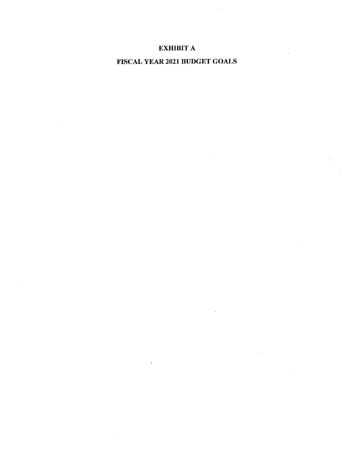#### **EXHIBIT A**

#### FISCAL YEAR 2021 BUDGET GOALS

 $\sim$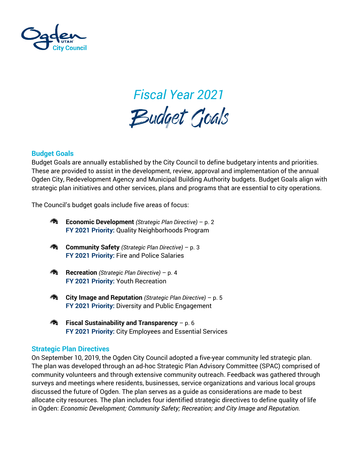

## *Fiscal Year 2021*

#### **Budget Goals**

Budget Goals are annually established by the City Council to define budgetary intents and priorities. These are provided to assist in the development, review, approval and implementation of the annual Ogden City, Redevelopment Agency and Municipal Building Authority budgets. Budget Goals align with strategic plan initiatives and other services, plans and programs that are essential to city operations.

The Council's budget goals include five areas of focus:



**FY 2021 Priority:** City Employees and Essential Services

#### **Strategic Plan Directives**

On September 10, 2019, the Ogden City Council adopted a five-year community led strategic plan. The plan was developed through an ad-hoc Strategic Plan Advisory Committee (SPAC) comprised of community volunteers and through extensive community outreach. Feedback was gathered through surveys and meetings where residents, businesses, service organizations and various local groups discussed the future of Ogden. The plan serves as a guide as considerations are made to best allocate city resources. The plan includes four identified strategic directives to define quality of life in Ogden: *Economic Development; Community Safety; Recreation; and City Image and Reputation.*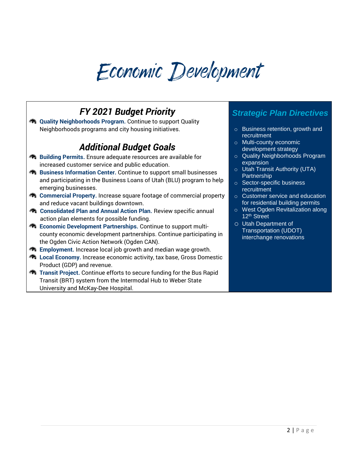## Economic Development

#### *FY 2021 Budget Priority*

**R** Quality Neighborhoods Program. Continue to support Quality Neighborhoods programs and city housing initiatives.

#### *Additional Budget Goals*

- **Building Permits.** Ensure adequate resources are available for increased customer service and public education.
- **Business Information Center.** Continue to support small businesses and participating in the Business Loans of Utah (BLU) program to help emerging businesses.
- **R** Commercial Property. Increase square footage of commercial property and reduce vacant buildings downtown.
- **Consolidated Plan and Annual Action Plan.** Review specific annual action plan elements for possible funding.
- **Example 20 Economic Development Partnerships. Continue to support multi**county economic development partnerships. Continue participating in the Ogden Civic Action Network (Ogden CAN).
- **Employment.** Increase local job growth and median wage growth.
- **R** Local Economy. Increase economic activity, tax base, Gross Domestic Product (GDP) and revenue.
- **Transit Project.** Continue efforts to secure funding for the Bus Rapid Transit (BRT) system from the Intermodal Hub to Weber State University and McKay-Dee Hospital.

- o Business retention, growth and recruitment
- o Multi-county economic development strategy
- o Quality Neighborhoods Program expansion
- o Utah Transit Authority (UTA) **Partnership**
- o Sector-specific business recruitment
- o Customer service and education for residential building permits
- o West Ogden Revitalization along 12th Street
- o Utah Department of Transportation (UDOT) interchange renovations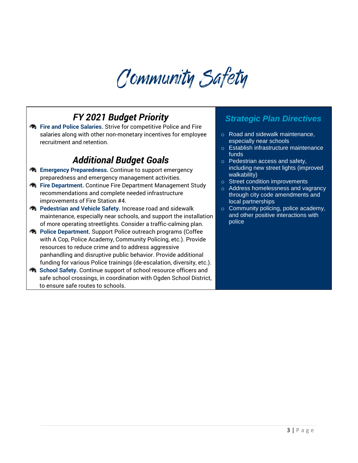### Community Safety

#### *FY 2021 Budget Priority*

**A** Fire and Police Salaries. Strive for competitive Police and Fire salaries along with other non-monetary incentives for employee recruitment and retention.

#### *Additional Budget Goals*

- **Emergency Preparedness. Continue to support emergency** preparedness and emergency management activities.
- **R** Fire Department. Continue Fire Department Management Study recommendations and complete needed infrastructure improvements of Fire Station #4.
- **Redestrian and Vehicle Safety.** Increase road and sidewalk maintenance, especially near schools, and support the installation of more operating streetlights. Consider a traffic-calming plan.
- **Police Department.** Support Police outreach programs (Coffee with A Cop, Police Academy, Community Policing, etc.). Provide resources to reduce crime and to address aggressive panhandling and disruptive public behavior. Provide additional funding for various Police trainings (de-escalation, diversity, etc.).
- **School Safety.** Continue support of school resource officers and safe school crossings, in coordination with Ogden School District, to ensure safe routes to schools.

- o Road and sidewalk maintenance, especially near schools
- o Establish infrastructure maintenance funds
- o Pedestrian access and safety, including new street lights (improved walkability)
- o Street condition improvements
- Address homelessness and vagrancy through city code amendments and local partnerships
- o Community policing, police academy, and other positive interactions with police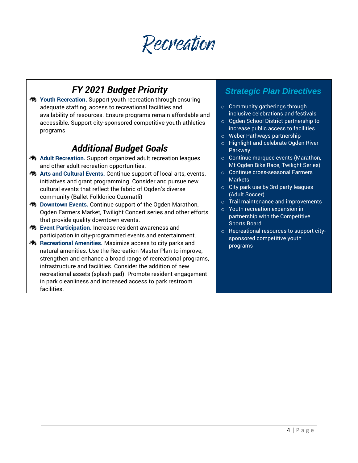Recreation

#### *FY 2021 Budget Priority*

**R** Youth Recreation. Support youth recreation through ensuring adequate staffing, access to recreational facilities and availability of resources. Ensure programs remain affordable and accessible. Support city-sponsored competitive youth athletics programs.

#### *Additional Budget Goals*

- **A** Adult Recreation. Support organized adult recreation leagues and other adult recreation opportunities.
- **Arts and Cultural Events.** Continue support of local arts, events, initiatives and grant programming. Consider and pursue new cultural events that reflect the fabric of Ogden's diverse community (Ballet Folklorico Ozomatli)
- **Downtown Events.** Continue support of the Ogden Marathon, Ogden Farmers Market, Twilight Concert series and other efforts that provide quality downtown events.
- **Event Participation.** Increase resident awareness and participation in city-programmed events and entertainment.
- **Recreational Amenities.** Maximize access to city parks and natural amenities. Use the Recreation Master Plan to improve, strengthen and enhance a broad range of recreational programs, infrastructure and facilities. Consider the addition of new recreational assets (splash pad). Promote resident engagement in park cleanliness and increased access to park restroom facilities.

- o Community gatherings through inclusive celebrations and festivals
- o Ogden School District partnership to increase public access to facilities
- o Weber Pathways partnership
- o Highlight and celebrate Ogden River Parkway
- o Continue marquee events (Marathon, Mt Ogden Bike Race, Twilight Series)
- o Continue cross-seasonal Farmers **Markets**
- $\circ$  City park use by 3rd party leagues (Adult Soccer)
- o Trail maintenance and improvements
- o Youth recreation expansion in partnership with the Competitive Sports Board
- o Recreational resources to support citysponsored competitive youth programs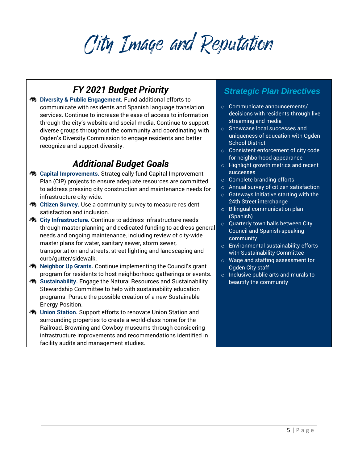## City Image and Reputation

#### *FY 2021 Budget Priority*

 $\bigotimes$  Diversity & Public Engagement. Fund additional efforts to communicate with residents and Spanish language translation services. Continue to increase the ease of access to information through the city's website and social media. Continue to support diverse groups throughout the community and coordinating with Ogden's Diversity Commission to engage residents and better recognize and support diversity.

#### *Additional Budget Goals*

- **R** Capital Improvements. Strategically fund Capital Improvement Plan (CIP) projects to ensure adequate resources are committed to address pressing city construction and maintenance needs for infrastructure city-wide.
- **Citizen Survey.** Use a community survey to measure resident satisfaction and inclusion.
- **City Infrastructure.** Continue to address infrastructure needs through master planning and dedicated funding to address general needs and ongoing maintenance, including review of city-wide master plans for water, sanitary sewer, storm sewer, transportation and streets, street lighting and landscaping and curb/gutter/sidewalk.
- **A** Neighbor Up Grants. Continue implementing the Council's grant program for residents to host neighborhood gatherings or events.
- **Sustainability.** Engage the Natural Resources and Sustainability Stewardship Committee to help with sustainability education programs. Pursue the possible creation of a new Sustainable Energy Position.
- *M* Union Station. Support efforts to renovate Union Station and surrounding properties to create a world-class home for the Railroad, Browning and Cowboy museums through considering infrastructure improvements and recommendations identified in facility audits and management studies.

- o Communicate announcements/ decisions with residents through live streaming and media
- o Showcase local successes and uniqueness of education with Ogden School District
- o Consistent enforcement of city code for neighborhood appearance
- o Highlight growth metrics and recent successes
- o Complete branding efforts
- o Annual survey of citizen satisfaction
- o Gateways Initiative starting with the 24th Street interchange
- o Bilingual communication plan (Spanish)
- o Quarterly town halls between City Council and Spanish-speaking community
- o Environmental sustainability efforts with Sustainability Committee
- o Wage and staffing assessment for Ogden City staff
- o Inclusive public arts and murals to beautify the community